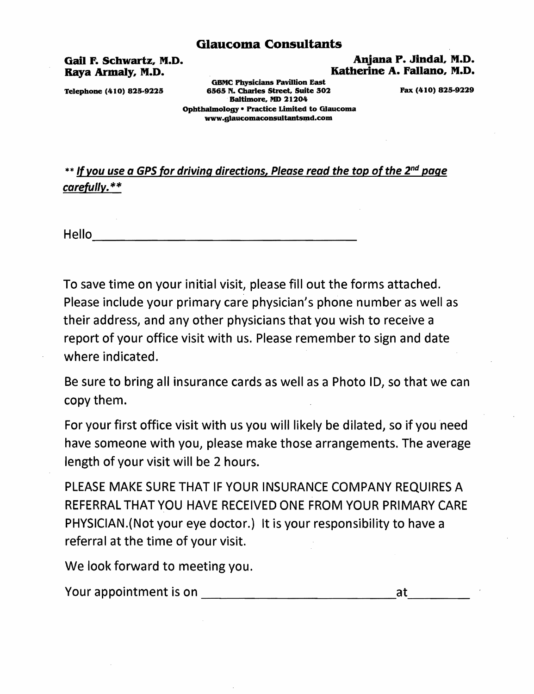Gail P. Schwartz, M.D. Anjana P. Jindal, M.D. Katherine A. Fallano, M.D.

GBMC Physicians Pavillion East Telephone (410) 825-9225 6565 N. Charles Street, Suite 302 Fax (410) 825-9229 Baltimore, MD 21204 Ophthalmology • Practice Limited to Glaucoma www.glaucomaconsultantsmd.com

\*\* If you use a GPS for driving directions, Please read the top of the 2<sup>nd</sup> page carefully. \*\*

----------------------------------- Hello

To save time on your initial visit, please fill out the forms attached. Please include your primary care physician's phone number as well as their address, and any other physicians that you wish to receive a report of your office visit with us. Please remember to sign and date where indicated.

Be sure to bring all insurance cards as well as a Photo ID, so that we can copy them.

For your first office visit with us you will likely be dilated, so if you need have someone with you, please make those arrangements. The average length of your visit will be 2 hours.

PLEASE MAKE SURE THAT IF YOUR INSURANCE COMPANY REQUIRES A REFERRAL THAT YOU HAVE RECEIVED ONE FROM YOUR PRIMARY CARE PHYSICIAN.(Not your eye doctor.} It is your responsibility to have a referral at the time of your visit.

We look forward to meeting you.

Your appointment is on the same of the state of the state of the state of the state of the state of the state o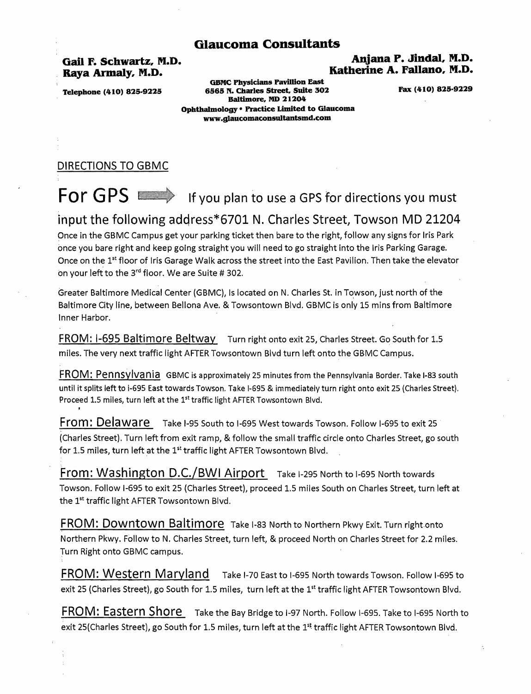# Gail F. Schwartz, M.D. Anjana P. Jindal, M.D. Katherine A. Fallano, M.D.

GBMC Physicians Pavillion East Telephone (410) 825-9225 6565 N. Charles Street. Suite 302 Pax (410) 825-9229 Baltimore. MD 21204 Ophthalmology . Practice Limited to Glaucoma www.gIaucomaconsuitantsmd.com

# DIRECTIONS TO GBMC

# For GPS In the View plan to use a GPS for directions you must

# input the following address\*6701 N. Charles Street, Towson MD 21204

Once in the GBMC Campus get your parking ticket then bare to the right, follow any signs for Iris Park once you bare right and keep going straight you will need to go straight into the Iris Parking Garage. Once on the 1<sup>st</sup> floor of Iris Garage Walk across the street into the East Pavilion. Then take the elevator on your left to the 3<sup>rd</sup> floor. We are Suite # 302.

Greater Baltimore Medical Center (GBMC), Is located on N. Charles St. in Towson, just north of the Baltimore City line, between Bellona Ave. & Towsontown Blvd. GBMC is only 15 mins from Baltimore Inner Harbor.

FROM: 1-695 Baltimore Beltway Turn right onto exit 25, Charles Street. Go South for 1.5 miles. The very next traffic light AFTER Towsontown Blvd turn left onto the GBMC Campus.

FROM: Pennsylvania GBMC is approximately 25 minutes from the Pennsylvania Border. Take 1-83 south until it splits left to i-695 East towards Towson. Take I-695 & immediately turn right onto exit 25 (Charles Street). Proceed 1.5 miles, turn left at the 1<sup>st</sup> traffic light AFTER Towsontown Blvd.

From: Delaware Take 1-95 South to 1-695 West towards Towson. Follow 1-695 to exit 25 (Charles Street). Turn left from exit ramp, & follow the small traffic circle onto Charles Street, go south for 1.5 miles, turn left at the 1<sup>st</sup> traffic light AFTER Towsontown Blvd.

From: Washington D.C./BWI Airport Take 1-295 North to 1-695 North towards Towson. Follow 1-695 to exit 25 (Charles Street), proceed 1.5 miles South on Charles Street, turn left at the 1<sup>st</sup> traffic light AFTER Towsontown Blvd.

FROM: Downtown Baltimore Take I-83 North to Northern Pkwy Exit. Turn right onto Northern Pkwy. Follow to N. Charles Street, turn left, & proceed North on Charles Street for 2.2 miles. Turn Right onto GBMC campus.

FROM: Western Maryland Take 1-70 East to 1-695 North towards Towson. Follow 1-695 to exit 25 (Charles Street), go South for 1.5 miles, turn left at the 1<sup>st</sup> traffic light AFTER Towsontown Blvd.

FROM: Eastern Shore Take the Bay Bridge to I-97 North. Follow I-695. Take to I-695 North to exit 25(Charles Street), go South for 1.5 miles, turn left at the 1<sup>st</sup> traffic light AFTER Towsontown Blvd.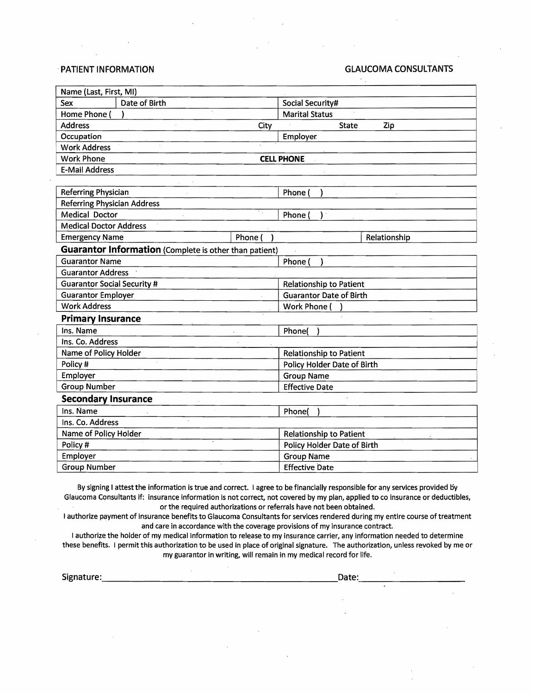#### ,PATIENT INFORMATION GLAUCOMA CONSULTANTS

| Name (Last, First, MI)                                 |                                |  |
|--------------------------------------------------------|--------------------------------|--|
| Date of Birth<br>Sex                                   | Social Security#               |  |
| Home Phone (                                           | <b>Marital Status</b>          |  |
| <b>Address</b><br>City                                 | <b>State</b><br>Zip            |  |
| Occupation                                             | Employer                       |  |
| <b>Work Address</b>                                    |                                |  |
| <b>Work Phone</b>                                      | <b>CELL PHONE</b>              |  |
| <b>E-Mail Address</b>                                  |                                |  |
|                                                        |                                |  |
| Referring Physician                                    | Phone (                        |  |
| <b>Referring Physician Address</b>                     |                                |  |
| Medical Doctor                                         | Phone (                        |  |
| <b>Medical Doctor Address</b>                          |                                |  |
| Phone (<br><b>Emergency Name</b>                       | Relationship                   |  |
| Guarantor Information (Complete is other than patient) |                                |  |
| <b>Guarantor Name</b>                                  | Phone (                        |  |
| <b>Guarantor Address</b>                               |                                |  |
| <b>Guarantor Social Security #</b>                     | <b>Relationship to Patient</b> |  |
| <b>Guarantor Employer</b>                              | <b>Guarantor Date of Birth</b> |  |
| <b>Work Address</b>                                    | Work Phone (                   |  |
| <b>Primary Insurance</b>                               |                                |  |
| Ins. Name                                              | Phone(                         |  |
| Ins. Co. Address                                       |                                |  |
| Name of Policy Holder                                  | Relationship to Patient        |  |
| Policy #                                               | Policy Holder Date of Birth    |  |
| Employer                                               | <b>Group Name</b>              |  |
| <b>Group Number</b>                                    | <b>Effective Date</b>          |  |
| <b>Secondary Insurance</b>                             |                                |  |
| Ins. Name                                              | Phone(                         |  |
| Ins. Co. Address                                       |                                |  |
| Name of Policy Holder                                  | <b>Relationship to Patient</b> |  |
| Policy #                                               | Policy Holder Date of Birth    |  |
| Employer                                               | <b>Group Name</b>              |  |
| <b>Group Number</b>                                    | <b>Effective Date</b>          |  |

By signing I attest the information is true and correct. I agree to be financially responsible for any services provided by Glaucoma Consultants if: insurance information is not correct, not covered by my plan, applied to co insurance or deductibles, or the required authorizations or referrals have not been obtained.

I authorize payment of insurance benefits to Glaucoma Consultants for services rendered during my entire course of treatment and care in accordance with the coverage provisions of my insurance contract.

I authorize the holder of my medical information to release to my insurance carrier, any information needed to determine these benefits. I permit this authorization to be used in place of original signature. The authorization, unless revoked by me or my guarantor in writing, will remain in my medical record for life.

extending the state of the state of the state of the state of the state of the state of the state of the state<br>Signature: the state of the state of the state of the state of the state of the state of the state of the state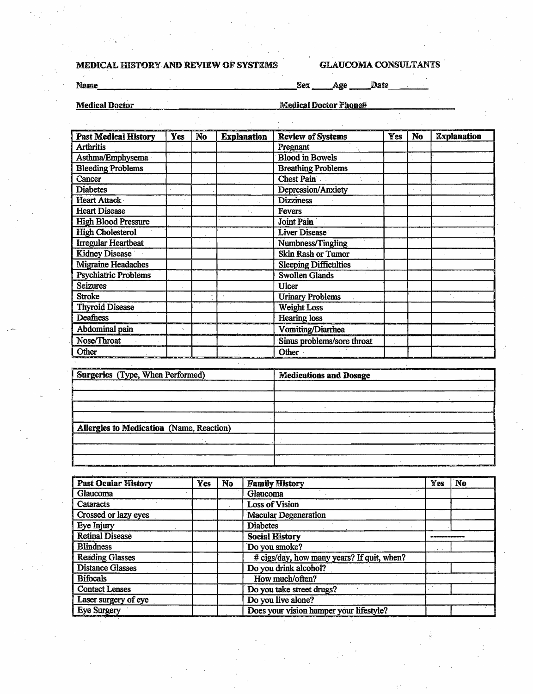# MEDICAL HISTORY AND REVIEW OF SYSTEMS GLAUCOMA CONSULTANTS

Name Sex Age Date

Medical Doctor Medical Doctor Phone#

| <b>Past Medical History</b> | Yes | N <sub>o</sub> | <b>Explanation</b> | <b>Review of Systems</b>     | Yes | <b>No</b> | <b>Explanation</b> |
|-----------------------------|-----|----------------|--------------------|------------------------------|-----|-----------|--------------------|
| <b>Arthritis</b>            |     |                |                    | Pregnant                     |     |           |                    |
| Asthma/Emphysema            |     |                |                    | <b>Blood in Bowels</b>       |     |           |                    |
| <b>Bleeding Problems</b>    |     |                |                    | <b>Breathing Problems</b>    |     |           |                    |
| Cancer                      |     |                |                    | <b>Chest Pain</b>            |     |           |                    |
| <b>Diabetes</b>             |     |                |                    | Depression/Anxiety           |     |           |                    |
| Heart Attack                |     |                |                    | <b>Dizziness</b>             |     |           |                    |
| <b>Heart Disease</b>        |     |                |                    | Fevers                       |     |           |                    |
| <b>High Blood Pressure</b>  |     |                |                    | <b>Joint Pain</b>            |     |           |                    |
| <b>High Cholesterol</b>     |     |                |                    | <b>Liver Disease</b>         |     |           |                    |
| <b>Irregular Heartbeat</b>  |     |                |                    | Numbness/Tingling            |     |           |                    |
| Kidney Disease              |     |                |                    | <b>Skin Rash or Tumor</b>    |     |           |                    |
| <b>Migraine Headaches</b>   |     |                |                    | <b>Sleeping Difficulties</b> |     |           |                    |
| <b>Psychiatric Problems</b> |     |                |                    | <b>Swollen Glands</b>        |     |           |                    |
| <b>Seizures</b>             |     |                |                    | Ulcer                        |     |           |                    |
| <b>Stroke</b>               |     |                |                    | <b>Urinary Problems</b>      |     |           |                    |
| <b>Thyroid Disease</b>      |     |                |                    | <b>Weight Loss</b>           |     |           |                    |
| Deafness                    |     |                |                    | <b>Hearing loss</b>          |     |           |                    |
| Abdominal pain              |     |                |                    | Vomiting/Diarrhea            |     |           |                    |
| Nose/Throat                 |     |                |                    | Sinus problems/sore throat   |     |           |                    |
| Other                       |     |                |                    | Other -                      |     |           |                    |

| ---<br>_____<br>.<br>Surgeries (Type, When Performed) | $\overline{\phantom{a}}$<br><b><i><u>Property Administration</u></i></b><br><b>Medications and Dosage</b> |  |
|-------------------------------------------------------|-----------------------------------------------------------------------------------------------------------|--|
|                                                       |                                                                                                           |  |
|                                                       |                                                                                                           |  |
|                                                       |                                                                                                           |  |
|                                                       |                                                                                                           |  |
| Allergies to Medication (Name, Reaction)              |                                                                                                           |  |
|                                                       |                                                                                                           |  |
|                                                       |                                                                                                           |  |
|                                                       |                                                                                                           |  |

| <b>Past Ocular History</b> | <b>Yes</b> | No | <b>Family History</b>                      | Yes | No |
|----------------------------|------------|----|--------------------------------------------|-----|----|
| Glaucoma                   |            |    | Glaucoma                                   |     |    |
| Cataracts                  |            |    | <b>Loss of Vision</b>                      |     |    |
| Crossed or lazy eyes       |            |    | <b>Macular Degeneration</b>                |     |    |
| Eye Injury                 |            |    | <b>Diabetes</b>                            |     |    |
| <b>Retinal Disease</b>     |            |    | <b>Social History</b>                      |     |    |
| <b>Blindness</b>           |            |    | Do you smoke?                              |     |    |
| <b>Reading Glasses</b>     |            |    | # cigs/day, how many years? If quit, when? |     |    |
| <b>Distance Glasses</b>    |            |    | Do you drink alcohol?                      |     |    |
| <b>Bifocals</b>            |            |    | How much/often?                            |     |    |
| <b>Contact Lenses</b>      |            |    | Do you take street drugs?                  |     |    |
| Laser surgery of eye       |            |    | Do you live alone?                         |     |    |
| <b>Eye Surgery</b>         |            |    | Does your vision hamper your lifestyle?    |     |    |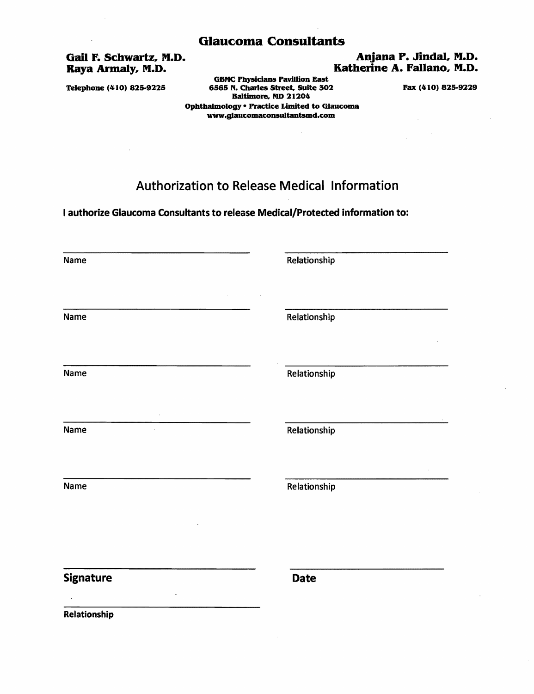# Gail F. Schwartz, M.D.<br>
Raya Armaly, M.D.<br>
Raya Armaly, M.D.<br>
Anjana P. Jindal, M.D.

GBMC Physicians Pavillion East Telephone (410) 825-9225 6565 N. Charles Street. Suite 302 Fax (410) 825-9229 Baltimore, MD 21204 Ophthalmology . Practice Limited to Glaucoma www.glaucomaconsultantsmd.com

# Authorization to Release Medical Information

I authorize Glaucoma Consultants to release Medical/Protected information to:

| Name                | Relationship |
|---------------------|--------------|
|                     |              |
| Name                | Relationship |
| Name                | Relationship |
| Name                | Relationship |
| Name                | Relationship |
| <b>Signature</b>    | <b>Date</b>  |
| <b>Relationshin</b> |              |

Katherine A. Fallano, M.D.

Relationship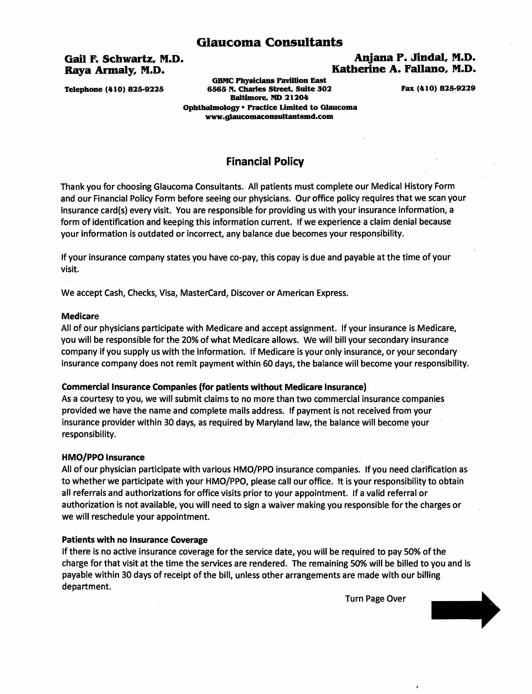## Gail F. Schwartz, M.D.<br>Raya Armaly, M.D. 6. The Raya Armaly, M.D. 6. The P. Jindal. M.D. 6. The Raya Armaly, M.D. Katherine A. Fallano, M.D.

GBMC Physicians Pavillion East Telephone (410) 825-9225 6565 N. Charles Street, Suite 302 Fax (410) 825-9229 Baltimore, NO 21204 Opbtbalmology· Practice Limited to Glaucoma www.g1aucomaconsultantsmd.com

# Financial Policy

Thank you for choosing Glaucoma Consultants. All patients must complete our Medical History Form and our Financial Policy Form before seeing our physicians. Our office policy requires that we scan your insurance card(s) every visit. You are responsible for providing us with your insurance information, a form of identification and keeping this information current. If we experience a claim denial because your information is outdated or incorrect, any balance due becomes your responsibility.

If your insurance company states you have co-pay, this copay is due and payable at the time of your visit.

We accept Cash, Checks, Visa, MasterCard, Discover or American Express.

#### Medicare

All of our physicians participate with Medicare and accept assignment. If your insurance is Medicare, you will be responsible for the 20% of what Medicare allows. We will bill your secondary insurance company if you supply us with the information. If Medicare is your only insurance, or your secondary insurance company does not remit payment within 60 days, the balance will become your responsibility.

#### Commercial Insurance Companies (for patients without Medicare Insurance)

As a courtesy to you, we will submit claims to no more than two commercial insurance companies provided we have the name and complete mails address. If payment is not received from your insurance provider within 30 days, as required by Maryland law, the balance will become your responsibility.

#### HMO/PPO Insurance .

All of our physician participate with various HMO/PPO insurance companies. If you need clarification as to whether we participate with your HMO/PPO, please call our office. It is your responsibility to obtain all referrals and authorizations for office visits prior to your appointment. If a valid referral or authorization is not available, you will need to sign a waiver making you responsible for the charges or we will reschedule your appointment.

#### Patients with no Insurance Coverage

If there is no active insurance coverage for the service date, you will be required to pay 50% of the charge for that visit at the time the services are rendered. The remaining 50% will be billed to you and is payable within 30 days of receipt of the bill, unless other arrangements are made with our billing department.

Turn Page Over

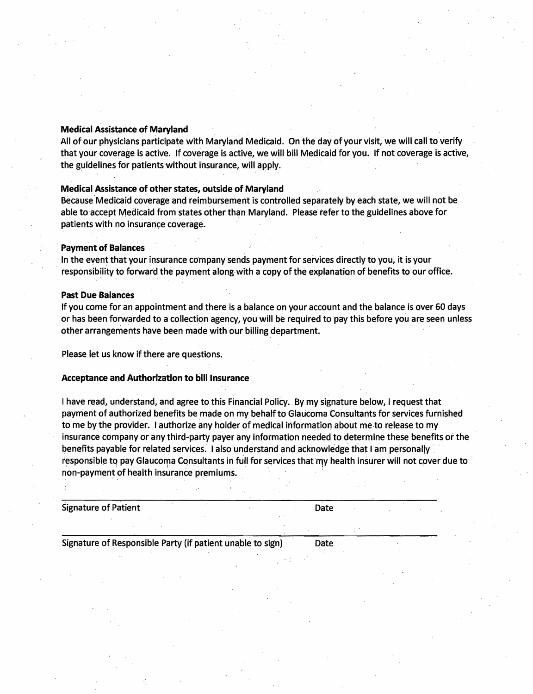## Medical Assistance of Maryland

All of our physicians participate with Maryland Medicaid. On the day of your visit, we will call to verify that your coverage is active. If coverage is active, we will bill Medicaid for you. If not coverage is active, the guidelines for patients without insurance, will apply.

## Medical Assistance of other states, outside of Maryland

Because Medicaid coverage and reimbursement is controlled separately by each state, we will not be able to accept Medicaid from states other than Maryland. Please refer to the guidelines above for patients with no insurance coverage .

#### Payment of Balances

In the event that your insurance company sends payment for services directly to you, it is your . responsibility to forward the payment along with a copy of the explanation of benefits to our office.

### Past Due Balances

If you come for an appointment and there is a balance on your account and the balance is over 60 days or has been forwarded to a collection agency, you will be required to pay this before you are seen unless other arrangements have been made with our billing department.

Please let us know if there are questions.

#### Acceptance and Authorization to bill Insurance

I have read, understand, and agree to this Financial Policy. By my signature below, I request that payment of authorized benefits be made on my behalf to Glaucoma Consultants for services furnished to me by the provider. I authorize any holder of medical information about meto release to my insurance company or any third-party payer any information needed to determine these benefits or the benefits payable for related services. I also understand and acknowledge that I am personally responsible to pay Glaucoma Consultants in full for services that my health insurer will not cover due to non-payment of health insurance premiums.

Signature of Patient **Date** 

Signature of Responsible Party (if patient unable to sign) Date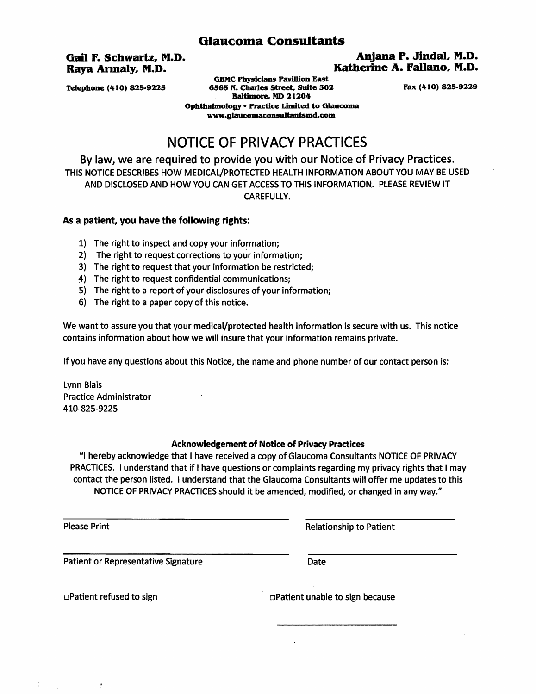## Gail F.Schwartz, M.D. Aqjana P. Jindal, M.D. Katherine A. Fallano, M.D.

GBMC Physicians Pavillion East Telephone (410) 825-9225 6565 N. Charles Street, Suite 302 Fax (410) 825-9229 Baltimore, MD 21204 Opbtbalmology· Practice Limited to Glaucoma www.g1aucomaconsultantsmd.com

# NOTICE OF PRIVACY PRACTICES

By law, we are required to provide you with our Notice of Privacy Practices. THIS NOTICE DESCRIBES HOW MEDICAL/PROTECTED HEALTH INFORMATION ABOUT YOU MAY BE USED AND DISCLOSED AND HOW YOU CAN GET ACCESS TO THIS INFORMATION. PLEASE REVIEW IT CAREFULLY.

### As a patient, you have the following rights:

- 1) The right to inspect and copy your information;
- 2) . The right to request corrections to your information;
- 3) The right to request that your information be restricted;
- 4) The right to request confidential communications;
- 5) The right to a report of your disclosures of your information;
- 6) The right to a paper copy of this notice.

We want to assure you that your medical/protected health information is secure with us. This notice contains information about how we will insure that your information remains private.

If you have any questions about this Notice, the name and phone number of our contact person is:

Lynn Blais Practice Administrator 410-825-9225

#### Acknowledgement of Notice of Privacy Practices

"I hereby acknowledge that I have received a copy of Glaucoma Consultants NOTICE OF PRIVACY PRACTICES. I understand that if I have questions or complaints regarding my privacy rights that I may contact the person listed. I understand that the Glaucoma Consultants will offer me updates to this NOTICE OF PRIVACY PRACTICES should it be amended, modified, or changed in any way."

Please Print **Please Print Please Print Relationship to Patient** 

Patient or Representative Signature Date

ţ

 $\Box$ Patient refused to sign  $\Box$ Patient unable to sign because